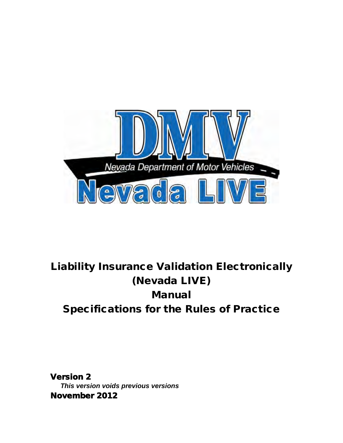

# Liability Insurance Validation Electronically (Nevada LIVE) Manual Specifications for the Rules of Practice

Version 2 *This version voids previous versions* November 2012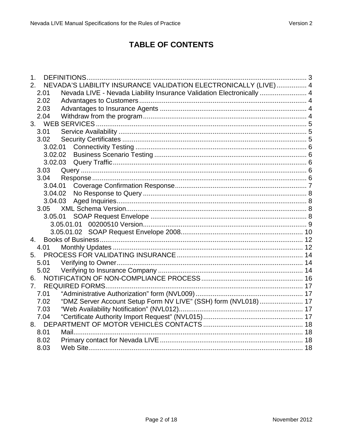## **TABLE OF CONTENTS**

| 1.             |         | <b>DEFINITIONS.</b>                                                   |  |
|----------------|---------|-----------------------------------------------------------------------|--|
| 2.             |         | NEVADA'S LIABILITY INSURANCE VALIDATION ELECTRONICALLY (LIVE)  4      |  |
|                | 2.01    | Nevada LIVE - Nevada Liability Insurance Validation Electronically  4 |  |
|                | 2.02    |                                                                       |  |
|                | 2.03    |                                                                       |  |
|                | 2.04    |                                                                       |  |
|                |         |                                                                       |  |
|                | 3.01    |                                                                       |  |
|                | 3.02    |                                                                       |  |
|                | 3.02.01 |                                                                       |  |
|                | 3.02.02 |                                                                       |  |
|                | 3.02.03 |                                                                       |  |
|                | 3.03    |                                                                       |  |
|                | 3.04    |                                                                       |  |
|                | 3.04.01 |                                                                       |  |
|                | 3.04.02 |                                                                       |  |
|                | 3.04.03 |                                                                       |  |
|                | 3.05    |                                                                       |  |
|                | 3.05.01 |                                                                       |  |
|                |         |                                                                       |  |
|                |         |                                                                       |  |
| $\mathbf{4}$ . |         |                                                                       |  |
|                | 4.01    |                                                                       |  |
|                |         |                                                                       |  |
|                | 5.01    |                                                                       |  |
|                | 5.02    |                                                                       |  |
| 6.             |         |                                                                       |  |
| 7 <sub>1</sub> |         | <b>REQUIRED FORMS</b>                                                 |  |
|                | 7.01    |                                                                       |  |
|                | 7.02    | "DMZ Server Account Setup Form NV LIVE" (SSH) form (NVL018) 17        |  |
|                | 7.03    |                                                                       |  |
|                | 7.04    |                                                                       |  |
|                |         |                                                                       |  |
|                | 8.01    |                                                                       |  |
|                | 8.02    |                                                                       |  |
|                | 8.03    |                                                                       |  |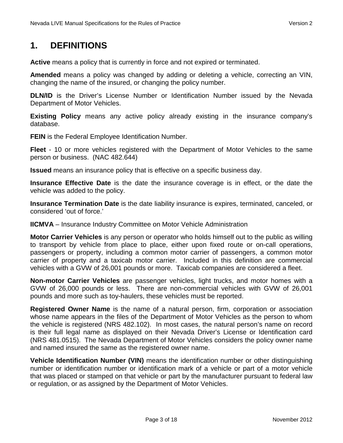# <span id="page-2-0"></span>**1. DEFINITIONS**

**Active** means a policy that is currently in force and not expired or terminated.

**Amended** means a policy was changed by adding or deleting a vehicle, correcting an VIN, changing the name of the insured, or changing the policy number.

**DLN/ID** is the Driver's License Number or Identification Number issued by the Nevada Department of Motor Vehicles.

**Existing Policy** means any active policy already existing in the insurance company's database.

**FEIN** is the Federal Employee Identification Number.

**Fleet** - 10 or more vehicles registered with the Department of Motor Vehicles to the same person or business. (NAC 482.644)

**Issued** means an insurance policy that is effective on a specific business day.

**Insurance Effective Date** is the date the insurance coverage is in effect, or the date the vehicle was added to the policy.

**Insurance Termination Date** is the date liability insurance is expires, terminated, canceled, or considered 'out of force.'

**IICMVA** – Insurance Industry Committee on Motor Vehicle Administration

**Motor Carrier Vehicles** is any person or operator who holds himself out to the public as willing to transport by vehicle from place to place, either upon fixed route or on-call operations, passengers or property, including a common motor carrier of passengers, a common motor carrier of property and a taxicab motor carrier. Included in this definition are commercial vehicles with a GVW of 26,001 pounds or more. Taxicab companies are considered a fleet.

**Non-motor Carrier Vehicles** are passenger vehicles, light trucks, and motor homes with a GVW of 26,000 pounds or less. There are non-commercial vehicles with GVW of 26,001 pounds and more such as toy-haulers, these vehicles must be reported.

**Registered Owner Name** is the name of a natural person, firm, corporation or association whose name appears in the files of the Department of Motor Vehicles as the person to whom the vehicle is registered (NRS 482.102). In most cases, the natural person's name on record is their full legal name as displayed on their Nevada Driver's License or Identification card (NRS 481.0515). The Nevada Department of Motor Vehicles considers the policy owner name and named insured the same as the registered owner name.

**Vehicle Identification Number (VIN)** means the identification number or other distinguishing number or identification number or identification mark of a vehicle or part of a motor vehicle that was placed or stamped on that vehicle or part by the manufacturer pursuant to federal law or regulation, or as assigned by the Department of Motor Vehicles.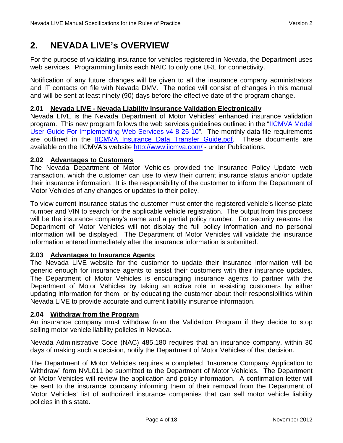# <span id="page-3-0"></span>**2. NEVADA LIVE's OVERVIEW**

For the purpose of validating insurance for vehicles registered in Nevada, the Department uses web services. Programming limits each NAIC to only one URL for connectivity.

Notification of any future changes will be given to all the insurance company administrators and IT contacts on file with Nevada DMV. The notice will consist of changes in this manual and will be sent at least ninety (90) days before the effective date of the program change.

#### <span id="page-3-1"></span>**2.01 Nevada LIVE - Nevada Liability Insurance Validation Electronically**

Nevada LIVE is the Nevada Department of Motor Vehicles' enhanced insurance validation program. This new program follows the web services guidelines outlined in the ["IICMVA Model](http://iicmva.com/iicmva_model_user_guide_v4.pdf)  [User Guide For Implementing Web Services v4 8-25-10"](http://iicmva.com/iicmva_model_user_guide_v4.pdf). The monthly data file requirements are outlined in the [IICMVA Insurance Data Transfer Guide.pdf.](http://www.iicmva.com/Data%20Transfer%20Guide%201.1.pdf) These documents are available on the IICMVA's website<http://www.iicmva.com/>- under Publications.

#### <span id="page-3-2"></span>**2.02 Advantages to Customers**

The Nevada Department of Motor Vehicles provided the Insurance Policy Update web transaction, which the customer can use to view their current insurance status and/or update their insurance information. It is the responsibility of the customer to inform the Department of Motor Vehicles of any changes or updates to their policy.

To view current insurance status the customer must enter the registered vehicle's license plate number and VIN to search for the applicable vehicle registration. The output from this process will be the insurance company's name and a partial policy number. For security reasons the Department of Motor Vehicles will not display the full policy information and no personal information will be displayed. The Department of Motor Vehicles will validate the insurance information entered immediately after the insurance information is submitted.

### <span id="page-3-3"></span>**2.03 Advantages to Insurance Agents**

The Nevada LIVE website for the customer to update their insurance information will be generic enough for insurance agents to assist their customers with their insurance updates. The Department of Motor Vehicles is encouraging insurance agents to partner with the Department of Motor Vehicles by taking an active role in assisting customers by either updating information for them, or by educating the customer about their responsibilities within Nevada LIVE to provide accurate and current liability insurance information.

#### <span id="page-3-4"></span>**2.04 Withdraw from the Program**

An insurance company must withdraw from the Validation Program if they decide to stop selling motor vehicle liability policies in Nevada.

Nevada Administrative Code (NAC) 485.180 requires that an insurance company, within 30 days of making such a decision, notify the Department of Motor Vehicles of that decision.

The Department of Motor Vehicles requires a completed "Insurance Company Application to Withdraw" form NVL011 be submitted to the Department of Motor Vehicles. The Department of Motor Vehicles will review the application and policy information. A confirmation letter will be sent to the insurance company informing them of their removal from the Department of Motor Vehicles' list of authorized insurance companies that can sell motor vehicle liability policies in this state.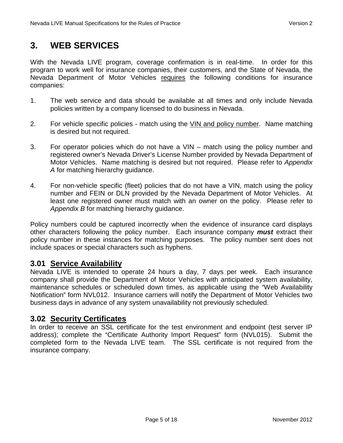# <span id="page-4-0"></span>**3. WEB SERVICES**

With the Nevada LIVE program, coverage confirmation is in real-time. In order for this program to work well for insurance companies, their customers, and the State of Nevada, the Nevada Department of Motor Vehicles requires the following conditions for insurance companies:

- 1. The web service and data should be available at all times and only include Nevada policies written by a company licensed to do business in Nevada.
- 2. For vehicle specific policies match using the VIN and policy number. Name matching is desired but not required.
- 3. For operator policies which do not have a VIN match using the policy number and registered owner's Nevada Driver's License Number provided by Nevada Department of Motor Vehicles. Name matching is desired but not required. Please refer to *Appendix A* for matching hierarchy guidance.
- 4. For non-vehicle specific (fleet) policies that do not have a VIN, match using the policy number and FEIN or DLN provided by the Nevada Department of Motor Vehicles. At least one registered owner must match with an owner on the policy. Please refer to *Appendix B* for matching hierarchy guidance.

Policy numbers could be captured incorrectly when the evidence of insurance card displays other characters following the policy number. Each insurance company *must* extract their policy number in these instances for matching purposes. The policy number sent does not include spaces or special characters such as hyphens.

### <span id="page-4-1"></span>**3.01 Service Availability**

Nevada LIVE is intended to operate 24 hours a day, 7 days per week. Each insurance company shall provide the Department of Motor Vehicles with anticipated system availability, maintenance schedules or scheduled down times, as applicable using the "Web Availability Notification" form NVL012. Insurance carriers will notify the Department of Motor Vehicles two business days in advance of any system unavailability not previously scheduled.

### <span id="page-4-2"></span>**3.02 Security Certificates**

In order to receive an SSL certificate for the test environment and endpoint (test server IP address); complete the "Certificate Authority Import Request" form (NVL015). Submit the completed form to the Nevada LIVE team. The SSL certificate is not required from the insurance company.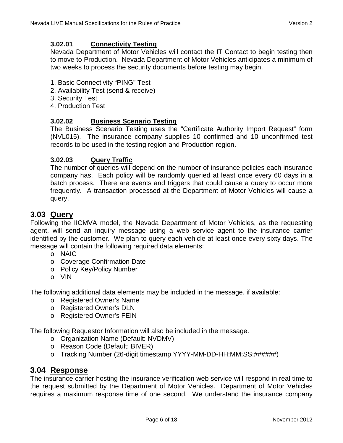#### <span id="page-5-0"></span>**3.02.01 Connectivity Testing**

Nevada Department of Motor Vehicles will contact the IT Contact to begin testing then to move to Production. Nevada Department of Motor Vehicles anticipates a minimum of two weeks to process the security documents before testing may begin.

- 1. Basic Connectivity "PING" Test
- 2. Availability Test (send & receive)
- 3. Security Test
- 4. Production Test

#### <span id="page-5-1"></span>**3.02.02 Business Scenario Testing**

The Business Scenario Testing uses the "Certificate Authority Import Request" form (NVL015). The insurance company supplies 10 confirmed and 10 unconfirmed test records to be used in the testing region and Production region.

#### <span id="page-5-2"></span>**3.02.03 Query Traffic**

The number of queries will depend on the number of insurance policies each insurance company has. Each policy will be randomly queried at least once every 60 days in a batch process. There are events and triggers that could cause a query to occur more frequently. A transaction processed at the Department of Motor Vehicles will cause a query.

### <span id="page-5-3"></span>**3.03 Query**

Following the IICMVA model, the Nevada Department of Motor Vehicles, as the requesting agent, will send an inquiry message using a web service agent to the insurance carrier identified by the customer. We plan to query each vehicle at least once every sixty days. The message will contain the following required data elements:

- o NAIC
- o Coverage Confirmation Date
- o Policy Key/Policy Number
- o VIN

The following additional data elements may be included in the message, if available:

- o Registered Owner's Name
- o Registered Owner's DLN
- o Registered Owner's FEIN

The following Requestor Information will also be included in the message.

- o Organization Name (Default: NVDMV)
- o Reason Code (Default: BIVER)
- <span id="page-5-4"></span>o Tracking Number (26-digit timestamp YYYY-MM-DD-HH:MM:SS:######)

### **3.04 Response**

The insurance carrier hosting the insurance verification web service will respond in real time to the request submitted by the Department of Motor Vehicles. Department of Motor Vehicles requires a maximum response time of one second. We understand the insurance company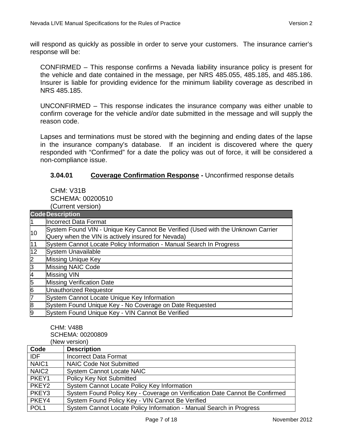will respond as quickly as possible in order to serve your customers. The insurance carrier's response will be:

CONFIRMED – This response confirms a Nevada liability insurance policy is present for the vehicle and date contained in the message, per NRS 485.055, 485.185, and 485.186. Insurer is liable for providing evidence for the minimum liability coverage as described in NRS 485.185.

UNCONFIRMED – This response indicates the insurance company was either unable to confirm coverage for the vehicle and/or date submitted in the message and will supply the reason code.

Lapses and terminations must be stored with the beginning and ending dates of the lapse in the insurance company's database. If an incident is discovered where the query responded with "Confirmed" for a date the policy was out of force, it will be considered a non-compliance issue.

#### **3.04.01 Coverage Confirmation Response -** Unconfirmed response details

<span id="page-6-0"></span>CHM: V31B SCHEMA: 00200510 (Current version)

| <b>Code Description</b> |                                                                                                                                       |  |
|-------------------------|---------------------------------------------------------------------------------------------------------------------------------------|--|
|                         | <b>Incorrect Data Format</b>                                                                                                          |  |
| 10                      | System Found VIN - Unique Key Cannot Be Verified (Used with the Unknown Carrier<br>Query when the VIN is actively insured for Nevada) |  |
| $\overline{11}$         | System Cannot Locate Policy Information - Manual Search In Progress                                                                   |  |
| 12                      | <b>System Unavailable</b>                                                                                                             |  |
| $\overline{2}$          | <b>Missing Unique Key</b>                                                                                                             |  |
| $\overline{3}$          | <b>Missing NAIC Code</b>                                                                                                              |  |
| 4                       | Missing VIN                                                                                                                           |  |
| 5                       | <b>Missing Verification Date</b>                                                                                                      |  |
| 6                       | <b>Unauthorized Requestor</b>                                                                                                         |  |
| 7                       | System Cannot Locate Unique Key Information                                                                                           |  |
| 8                       | System Found Unique Key - No Coverage on Date Requested                                                                               |  |
| 9                       | System Found Unique Key - VIN Cannot Be Verified                                                                                      |  |

CHM: V48B SCHEMA: 00200809 (New version)

| Code              | ,,,,,,,,,,,,,,,,<br><b>Description</b>                                      |
|-------------------|-----------------------------------------------------------------------------|
|                   |                                                                             |
| <b>IDF</b>        | <b>Incorrect Data Format</b>                                                |
| NAIC <sub>1</sub> | <b>NAIC Code Not Submitted</b>                                              |
| NAIC <sub>2</sub> | <b>System Cannot Locate NAIC</b>                                            |
| PKEY1             | <b>Policy Key Not Submitted</b>                                             |
| PKEY <sub>2</sub> | System Cannot Locate Policy Key Information                                 |
| PKEY3             | System Found Policy Key - Coverage on Verification Date Cannot Be Confirmed |
| PKEY4             | System Found Policy Key - VIN Cannot Be Verified                            |
| POL <sub>1</sub>  | System Cannot Locate Policy Information - Manual Search in Progress         |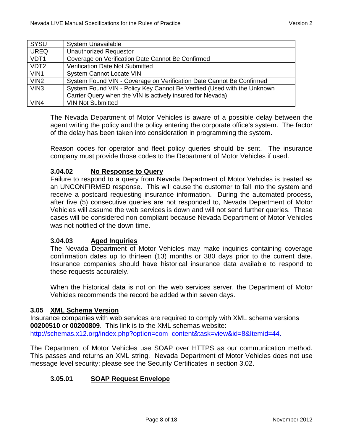| SYSU             | <b>System Unavailable</b>                                               |
|------------------|-------------------------------------------------------------------------|
| <b>UREQ</b>      | <b>Unauthorized Requestor</b>                                           |
| VDT <sub>1</sub> | Coverage on Verification Date Cannot Be Confirmed                       |
| VDT <sub>2</sub> | Verification Date Not Submitted                                         |
| VIN <sub>1</sub> | <b>System Cannot Locate VIN</b>                                         |
| VIN <sub>2</sub> | System Found VIN - Coverage on Verification Date Cannot Be Confirmed    |
| VIN <sub>3</sub> | System Found VIN - Policy Key Cannot Be Verified (Used with the Unknown |
|                  | Carrier Query when the VIN is actively insured for Nevada)              |
| VIN4             | <b>VIN Not Submitted</b>                                                |

The Nevada Department of Motor Vehicles is aware of a possible delay between the agent writing the policy and the policy entering the corporate office's system. The factor of the delay has been taken into consideration in programming the system.

Reason codes for operator and fleet policy queries should be sent. The insurance company must provide those codes to the Department of Motor Vehicles if used.

#### <span id="page-7-0"></span>**3.04.02 No Response to Query**

Failure to respond to a query from Nevada Department of Motor Vehicles is treated as an UNCONFIRMED response. This will cause the customer to fall into the system and receive a postcard requesting insurance information. During the automated process, after five (5) consecutive queries are not responded to, Nevada Department of Motor Vehicles will assume the web services is down and will not send further queries. These cases will be considered non-compliant because Nevada Department of Motor Vehicles was not notified of the down time.

#### <span id="page-7-1"></span>**3.04.03 Aged Inquiries**

The Nevada Department of Motor Vehicles may make inquiries containing coverage confirmation dates up to thirteen (13) months or 380 days prior to the current date. Insurance companies should have historical insurance data available to respond to these requests accurately.

<span id="page-7-2"></span>When the historical data is not on the web services server, the Department of Motor Vehicles recommends the record be added within seven days.

#### **3.05 XML Schema Version**

Insurance companies with web services are required to comply with XML schema versions **00200510** or **00200809**. This link is to the XML schemas website: [http://schemas.x12.org/index.php?option=com\\_content&task=view&id=8&Itemid=44.](http://schemas.x12.org/index.php?option=com_content&task=view&id=8&Itemid=44)

The Department of Motor Vehicles use SOAP over HTTPS as our communication method. This passes and returns an XML string. Nevada Department of Motor Vehicles does not use message level security; please see the Security Certificates in section 3.02.

#### <span id="page-7-3"></span>**3.05.01 SOAP Request Envelope**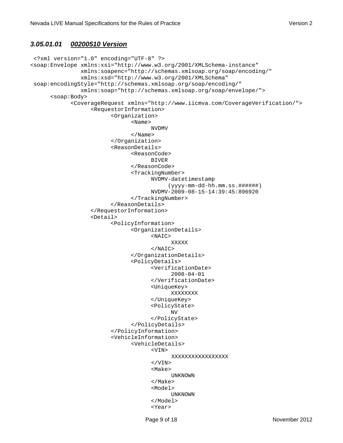#### <span id="page-8-0"></span>*3.05.01.01 00200510 Version*

```
<?xml version="1.0" encoding="UTF-8" ?>
<soap:Envelope xmlns:xsi="http://www.w3.org/2001/XMLSchema-instance" 
              xmlns:soapenc="http://schemas.xmlsoap.org/soap/encoding/" 
              xmlns:xsd="http://www.w3.org/2001/XMLSchema" 
soap:encodingStyle="http://schemas.xmlsoap.org/soap/encoding/" 
              xmlns:soap="http://schemas.xmlsoap.org/soap/envelope/">
     <soap:Body>
            <CoverageRequest xmlns="http://www.iicmva.com/CoverageVerification/">
                 <RequestorInformation>
                       <Organization>
                             <Name>
 NVDMV
                             </Name>
                       </Organization>
                       <ReasonDetails>
                             <ReasonCode>
BIVER
                             </ReasonCode>
                             <TrackingNumber>
                                  NVDMV-datetimestamp
                                       (yyyy-mm-dd-hh.mm.ss.######) 
                                  NVDMV-2009-08-15-14:39:45:896920
                             </TrackingNumber>
                       </ReasonDetails>
                 </RequestorInformation>
                 <Detail>
                       <PolicyInformation>
                             <OrganizationDetails>
 <NAIC>
 XXXXX
\langle \Delta \rangle / \Delta / \Delta / \Delta / \Delta / \Delta / \Delta / \Delta / \Delta / \Delta / \Delta / \Delta / \Delta / \Delta / \Delta / \Delta / \Delta / \Delta / \Delta / \Delta / \Delta / \Delta / \Delta / \Delta / \Delta / \Delta / \Delta / \Delta / \Delta / \Delta / \Delta / 
                             </OrganizationDetails>
                             <PolicyDetails>
                                  <VerificationDate>
                                        2008-04-01
                                  </VerificationDate>
                                  <UniqueKey>
                                        XXXXXXXX
                                  </UniqueKey>
                                  <PolicyState>
 NV
                                  </PolicyState>
                             </PolicyDetails>
                       </PolicyInformation>
                       <VehicleInformation>
                             <VehicleDetails>
<VIN>
                                        XXXXXXXXXXXXXXXXX
                                  </VIN>
 <Make>
 UNKNOWN
 </Make>
                                  <Model>
 UNKNOWN
                                  </Model>
 <Year>
```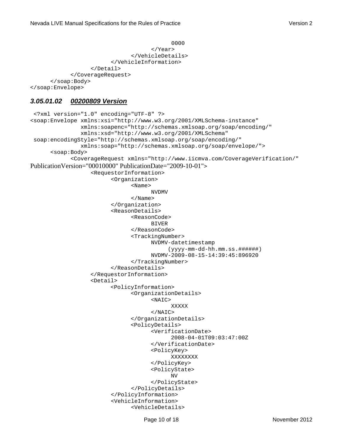```
 0000
 </Year>
                    </VehicleDetails>
                </VehicleInformation>
            </Detail>
        </CoverageRequest>
   </soap:Body>
</soap:Envelope>
```
### <span id="page-9-0"></span>*3.05.01.02 00200809 Version*

```
<?xml version="1.0" encoding="UTF-8" ?>
<soap:Envelope xmlns:xsi="http://www.w3.org/2001/XMLSchema-instance" 
              xmlns:soapenc="http://schemas.xmlsoap.org/soap/encoding/" 
              xmlns:xsd="http://www.w3.org/2001/XMLSchema" 
soap:encodingStyle="http://schemas.xmlsoap.org/soap/encoding/" 
              xmlns:soap="http://schemas.xmlsoap.org/soap/envelope/">
     <soap:Body>
            <CoverageRequest xmlns="http://www.iicmva.com/CoverageVerification/"
PublicationVersion="00010000" PublicationDate="2009-10-01"> 
                 <RequestorInformation>
                       <Organization>
                            <Name>
 NVDMV
                            </Name>
                       </Organization>
                       <ReasonDetails>
                            <ReasonCode>
BIVER BIVER
                            </ReasonCode>
                            <TrackingNumber>
                                 NVDMV-datetimestamp
                                      (yyyy-mm-dd-hh.mm.ss.######) 
                                 NVDMV-2009-08-15-14:39:45:896920
                            </TrackingNumber>
                       </ReasonDetails>
                 </RequestorInformation>
                 <Detail>
                       <PolicyInformation>
                            <OrganizationDetails>
 <NAIC>
 XXXXX
                                  </NAIC>
                            </OrganizationDetails>
                            <PolicyDetails>
                                  <VerificationDate>
                                       2008-04-01T09:03:47:00Z
                                  </VerificationDate>
                                  <PolicyKey>
                                       XXXXXXXX
                                  </PolicyKey>
                                  <PolicyState>
 NV
                                  </PolicyState>
                            </PolicyDetails>
                       </PolicyInformation>
                       <VehicleInformation>
                            <VehicleDetails>
```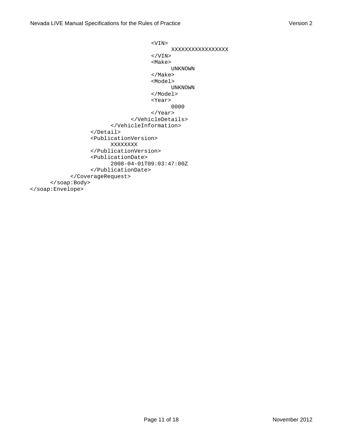```
<VIN>
                                  XXXXXXXXXXXXXXXXX
                            \langle/VIN> <Make>
                                  UNKNOWN
                             </Make>
                             <Model>
                                  UNKNOWN
                             </Model>
 <Year>
 0000
                             </Year>
                        </VehicleDetails>
                    </VehicleInformation>
               </Detail>
               <PublicationVersion>
                   XXXXXXXX
              </PublicationVersion>
              <PublicationDate>
                   2008-04-01T09:03:47:00Z
              </PublicationDate>
          </CoverageRequest>
    </soap:Body>
</soap:Envelope>
```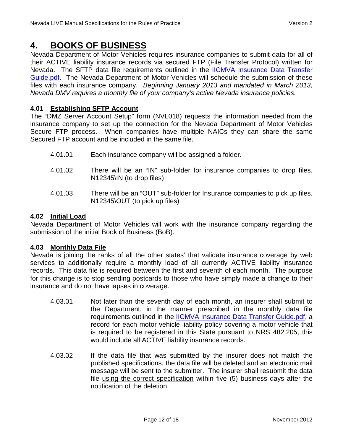# <span id="page-11-0"></span>**4. BOOKS OF BUSINESS**

Nevada Department of Motor Vehicles requires insurance companies to submit data for all of their ACTIVE liability insurance records via secured FTP (File Transfer Protocol) written for Nevada. The SFTP data file requirements outlined in the [IICMVA Insurance Data Transfer](http://www.iicmva.com/Data%20Transfer%20Guide%201.1.pdf)  [Guide.pdf.](http://www.iicmva.com/Data%20Transfer%20Guide%201.1.pdf) The Nevada Department of Motor Vehicles will schedule the submission of these files with each insurance company. *Beginning January 2013 and mandated in March 2013, Nevada DMV requires a monthly file of your company's active Nevada insurance policies.*

### **4.01 Establishing SFTP Account**

The "DMZ Server Account Setup" form (NVL018) requests the information needed from the insurance company to set up the connection for the Nevada Department of Motor Vehicles Secure FTP process. When companies have multiple NAICs they can share the same Secured FTP account and be included in the same file.

- 4.01.01 Each insurance company will be assigned a folder.
- 4.01.02 There will be an "IN" sub-folder for insurance companies to drop files. N12345\IN (to drop files)
- 4.01.03 There will be an "OUT" sub-folder for Insurance companies to pick up files. N12345\OUT (to pick up files)

#### **4.02 Initial Load**

Nevada Department of Motor Vehicles will work with the insurance company regarding the submission of the initial Book of Business (BoB).

#### <span id="page-11-1"></span>**4.03 Monthly Data File**

Nevada is joining the ranks of all the other states' that validate insurance coverage by web services to additionally require a monthly load of all currently ACTIVE liability insurance records. This data file is required between the first and seventh of each month. The purpose for this change is to stop sending postcards to those who have simply made a change to their insurance and do not have lapses in coverage.

- 4.03.01 Not later than the seventh day of each month, an insurer shall submit to the Department, in the manner prescribed in the monthly data file requirements outlined in the [IICMVA Insurance Data Transfer Guide.pdf,](http://www.iicmva.com/Data%20Transfer%20Guide%201.1.pdf) a record for each motor vehicle liability policy covering a motor vehicle that is required to be registered in this State pursuant to NRS 482.205, this would include all ACTIVE liability insurance records.
- 4.03.02 If the data file that was submitted by the insurer does not match the published specifications, the data file will be deleted and an electronic mail message will be sent to the submitter. The insurer shall resubmit the data file using the correct specification within five (5) business days after the notification of the deletion.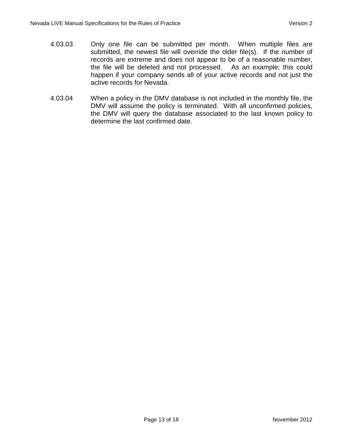- 4.03.03 Only one file can be submitted per month. When multiple files are submitted, the newest file will override the older file(s). If the number of records are extreme and does not appear to be of a reasonable number, the file will be deleted and not processed. As an example; this could happen if your company sends all of your active records and not just the active records for Nevada.
- 4.03.04 When a policy in the DMV database is not included in the monthly file, the DMV will assume the policy is terminated. With all unconfirmed policies, the DMV will query the database associated to the last known policy to determine the last confirmed date.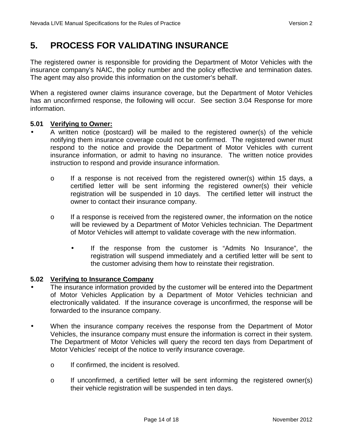# <span id="page-13-0"></span>**5. PROCESS FOR VALIDATING INSURANCE**

The registered owner is responsible for providing the Department of Motor Vehicles with the insurance company's NAIC, the policy number and the policy effective and termination dates. The agent may also provide this information on the customer's behalf.

When a registered owner claims insurance coverage, but the Department of Motor Vehicles has an unconfirmed response, the following will occur. See section 3.04 Response for more information.

#### **5.01 Verifying to Owner:**

<span id="page-13-1"></span>A written notice (postcard) will be mailed to the registered owner(s) of the vehicle notifying them insurance coverage could not be confirmed. The registered owner must respond to the notice and provide the Department of Motor Vehicles with current insurance information, or admit to having no insurance. The written notice provides instruction to respond and provide insurance information.

- o If a response is not received from the registered owner(s) within 15 days, a certified letter will be sent informing the registered owner(s) their vehicle registration will be suspended in 10 days. The certified letter will instruct the owner to contact their insurance company.
- $\circ$  If a response is received from the registered owner, the information on the notice will be reviewed by a Department of Motor Vehicles technician. The Department of Motor Vehicles will attempt to validate coverage with the new information.
	- If the response from the customer is "Admits No Insurance", the registration will suspend immediately and a certified letter will be sent to the customer advising them how to reinstate their registration.

#### **5.02 Verifying to Insurance Company**

<span id="page-13-2"></span> The insurance information provided by the customer will be entered into the Department of Motor Vehicles Application by a Department of Motor Vehicles technician and electronically validated. If the insurance coverage is unconfirmed, the response will be forwarded to the insurance company.

- When the insurance company receives the response from the Department of Motor Vehicles, the insurance company must ensure the information is correct in their system. The Department of Motor Vehicles will query the record ten days from Department of Motor Vehicles' receipt of the notice to verify insurance coverage.
	- o If confirmed, the incident is resolved.
	- o If unconfirmed, a certified letter will be sent informing the registered owner(s) their vehicle registration will be suspended in ten days.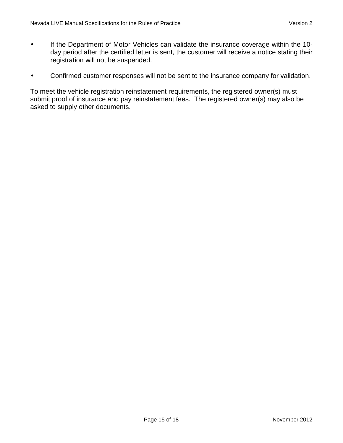ä,

- If the Department of Motor Vehicles can validate the insurance coverage within the 10 day period after the certified letter is sent, the customer will receive a notice stating their registration will not be suspended.
- Confirmed customer responses will not be sent to the insurance company for validation.  $\mathbf{r}$

To meet the vehicle registration reinstatement requirements, the registered owner(s) must submit proof of insurance and pay reinstatement fees. The registered owner(s) may also be asked to supply other documents.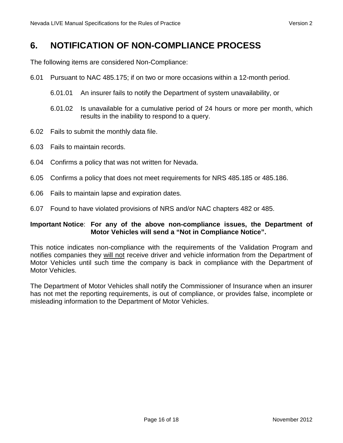# <span id="page-15-0"></span>**6. NOTIFICATION OF NON-COMPLIANCE PROCESS**

The following items are considered Non-Compliance:

- 6.01 Pursuant to NAC 485.175; if on two or more occasions within a 12-month period.
	- 6.01.01 An insurer fails to notify the Department of system unavailability, or
	- 6.01.02 Is unavailable for a cumulative period of 24 hours or more per month, which results in the inability to respond to a query.
- 6.02 Fails to submit the monthly data file.
- 6.03 Fails to maintain records.
- 6.04 Confirms a policy that was not written for Nevada.
- 6.05 Confirms a policy that does not meet requirements for NRS 485.185 or 485.186.
- 6.06 Fails to maintain lapse and expiration dates.
- 6.07 Found to have violated provisions of NRS and/or NAC chapters 482 or 485.

#### **Important Notice**: **For any of the above non-compliance issues, the Department of Motor Vehicles will send a "Not in Compliance Notice".**

This notice indicates non-compliance with the requirements of the Validation Program and notifies companies they will not receive driver and vehicle information from the Department of Motor Vehicles until such time the company is back in compliance with the Department of Motor Vehicles.

The Department of Motor Vehicles shall notify the Commissioner of Insurance when an insurer has not met the reporting requirements, is out of compliance, or provides false, incomplete or misleading information to the Department of Motor Vehicles.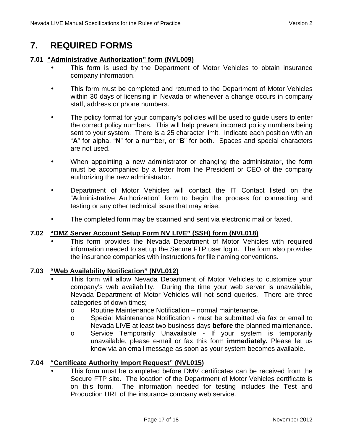# **7. REQUIRED FORMS**

#### **7.01 "Administrative Authorization" form (NVL009)**

- <span id="page-16-1"></span><span id="page-16-0"></span>This form is used by the Department of Motor Vehicles to obtain insurance company information.
- This form must be completed and returned to the Department of Motor Vehicles within 30 days of licensing in Nevada or whenever a change occurs in company staff, address or phone numbers.
- The policy format for your company's policies will be used to guide users to enter the correct policy numbers. This will help prevent incorrect policy numbers being sent to your system. There is a 25 character limit. Indicate each position with an "**A**" for alpha, "**N**" for a number, or "**B**" for both. Spaces and special characters are not used.
- When appointing a new administrator or changing the administrator, the form ä, must be accompanied by a letter from the President or CEO of the company authorizing the new administrator.
- Department of Motor Vehicles will contact the IT Contact listed on the "Administrative Authorization" form to begin the process for connecting and testing or any other technical issue that may arise.
- The completed form may be scanned and sent via electronic mail or faxed.

#### **7.02 "DMZ Server Account Setup Form NV LIVE" (SSH) form (NVL018)**

<span id="page-16-2"></span>This form provides the Nevada Department of Motor Vehicles with required information needed to set up the Secure FTP user login. The form also provides the insurance companies with instructions for file naming conventions.

#### **7.03 "Web Availability Notification" (NVL012)**

- <span id="page-16-3"></span>This form will allow Nevada Department of Motor Vehicles to customize your company's web availability. During the time your web server is unavailable, Nevada Department of Motor Vehicles will not send queries. There are three categories of down times;
	- o Routine Maintenance Notification normal maintenance.
	- o Special Maintenance Notification must be submitted via fax or email to Nevada LIVE at least two business days **before** the planned maintenance.
	- o Service Temporarily Unavailable If your system is temporarily unavailable, please e-mail or fax this form **immediately.** Please let us know via an email message as soon as your system becomes available.

#### **7.04 "Certificate Authority Import Request" (NVL015)**

<span id="page-16-4"></span>This form must be completed before DMV certificates can be received from the Secure FTP site. The location of the Department of Motor Vehicles certificate is on this form. The information needed for testing includes the Test and Production URL of the insurance company web service.